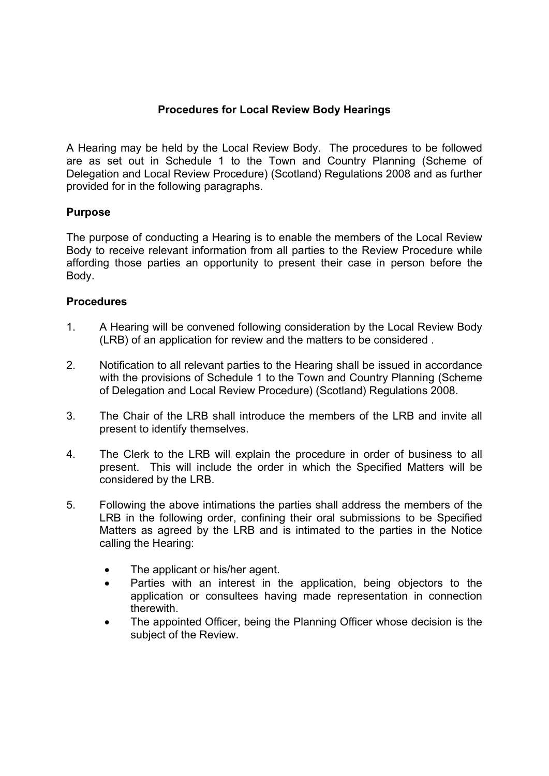## **Procedures for Local Review Body Hearings**

A Hearing may be held by the Local Review Body. The procedures to be followed are as set out in Schedule 1 to the Town and Country Planning (Scheme of Delegation and Local Review Procedure) (Scotland) Regulations 2008 and as further provided for in the following paragraphs.

## **Purpose**

The purpose of conducting a Hearing is to enable the members of the Local Review Body to receive relevant information from all parties to the Review Procedure while affording those parties an opportunity to present their case in person before the Body.

## **Procedures**

- 1. A Hearing will be convened following consideration by the Local Review Body (LRB) of an application for review and the matters to be considered .
- 2. Notification to all relevant parties to the Hearing shall be issued in accordance with the provisions of Schedule 1 to the Town and Country Planning (Scheme of Delegation and Local Review Procedure) (Scotland) Regulations 2008.
- 3. The Chair of the LRB shall introduce the members of the LRB and invite all present to identify themselves.
- 4. The Clerk to the LRB will explain the procedure in order of business to all present. This will include the order in which the Specified Matters will be considered by the LRB.
- 5. Following the above intimations the parties shall address the members of the LRB in the following order, confining their oral submissions to be Specified Matters as agreed by the LRB and is intimated to the parties in the Notice calling the Hearing:
	- The applicant or his/her agent.
	- Parties with an interest in the application, being objectors to the application or consultees having made representation in connection therewith.
	- The appointed Officer, being the Planning Officer whose decision is the subject of the Review.